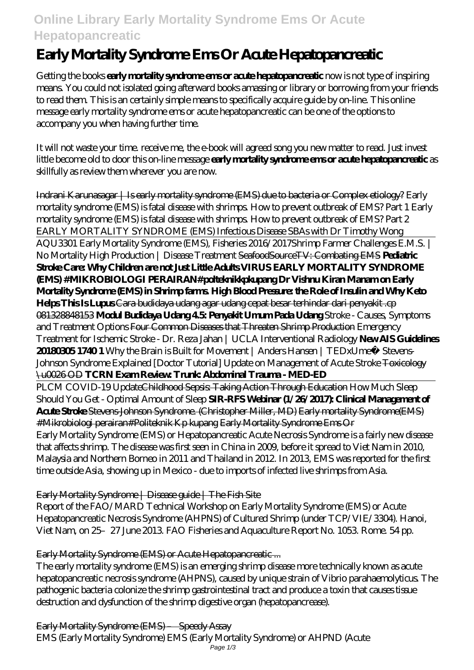## **Online Library Early Mortality Syndrome Ems Or Acute Hepatopancreatic**

# **Early Mortality Syndrome Ems Or Acute Hepatopancreatic**

Getting the books **early mortality syndrome ems or acute hepatopancreatic** now is not type of inspiring means. You could not isolated going afterward books amassing or library or borrowing from your friends to read them. This is an certainly simple means to specifically acquire guide by on-line. This online message early mortality syndrome ems or acute hepatopancreatic can be one of the options to accompany you when having further time.

It will not waste your time. receive me, the e-book will agreed song you new matter to read. Just invest little become old to door this on-line message **early mortality syndrome ems or acute hepatopancreatic** as skillfully as review them wherever you are now.

Indrani Karunasagar | Is early mortality syndrome (EMS) due to bacteria or Complex etiology? Early mortality syndrome (EMS) is fatal disease with shrimps. How to prevent outbreak of EMS? Part 1 Early mortality syndrome (EMS) is fatal disease with shrimps. How to prevent outbreak of EMS? Part 2 *EARLY MORTALITY SYNDROME (EMS) Infectious Disease SBAs with Dr Timothy Wong* AQU3301 Early Mortality Syndrome (EMS), Fisheries 2016/2017*Shrimp Farmer Challenges E.M.S. | No Mortality High Production | Disease Treatment* SeafoodSourceTV: Combating EMS **Pediatric Stroke Care: Why Children are not Just Little Adults VIRUS EARLY MORTALITY SYNDROME (EMS) #MIKROBIOLOGI PERAIRAN#polteknikkpkupang Dr Vishnu Kiran Manam on Early Mortality Syndrome (EMS) in Shrimp farms. High Blood Pressure: the Role of Insulin and Why Keto Helps This Is Lupus** Cara budidaya udang agar udang cepat besar terhindar dari penyakit .cp 081328848153 **Modul Budidaya Udang 4.5: Penyakit Umum Pada Udang** Stroke - Causes, Symptoms and Treatment Options Four Common Diseases that Threaten Shrimp Production *Emergency Treatment for Ischemic Stroke - Dr. Reza Jahan | UCLA Interventional Radiology* **New AIS Guidelines 20180305 1740 1** *Why the Brain is Built for Movement | Anders Hansen | TEDxUmeå Stevens-Johnson Syndrome Explained [Doctor Tutorial] Update on Management of Acute Stroke* Toxicology \u0026 OD **TCRN Exam Review: Trunk: Abdominal Trauma - MED-ED** PLCM COVID-19 UpdateChildhood Sepsis: Taking Action Through Education How Much Sleep Should You Get - Optimal Amount of Sleep **SIR-RFS Webinar (1/26/2017): Clinical Management of Acute Stroke** Stevens-Johnson Syndrome. (Christopher Miller, MD) Early mortality Syndrome(EMS) #Mikrobiologi perairan#Politeknik Kp kupang Early Mortality Syndrome Ems Or Early Mortality Syndrome (EMS) or Hepatopancreatic Acute Necrosis Syndrome is a fairly new disease that affects shrimp. The disease was first seen in China in 2009, before it spread to Viet Nam in 2010,

Malaysia and Northern Borneo in 2011 and Thailand in 2012. In 2013, EMS was reported for the first time outside Asia, showing up in Mexico - due to imports of infected live shrimps from Asia.

## Early Mortality Syndrome | Disease guide | The Fish Site

Report of the FAO/MARD Technical Workshop on Early Mortality Syndrome (EMS) or Acute Hepatopancreatic Necrosis Syndrome (AHPNS) of Cultured Shrimp (under TCP/VIE/3304). Hanoi, Viet Nam, on 25–27 June 2013. FAO Fisheries and Aquaculture Report No. 1053. Rome. 54 pp.

Early Mortality Syndrome (EMS) or Acute Hepatopancreatic ...

The early mortality syndrome (EMS) is an emerging shrimp disease more technically known as acute hepatopancreatic necrosis syndrome (AHPNS), caused by unique strain of Vibrio parahaemolyticus. The pathogenic bacteria colonize the shrimp gastrointestinal tract and produce a toxin that causes tissue destruction and dysfunction of the shrimp digestive organ (hepatopancrease).

Early Mortality Syndrome (EMS) – Speedy Assay EMS (Early Mortality Syndrome) EMS (Early Mortality Syndrome) or AHPND (Acute Page 1/3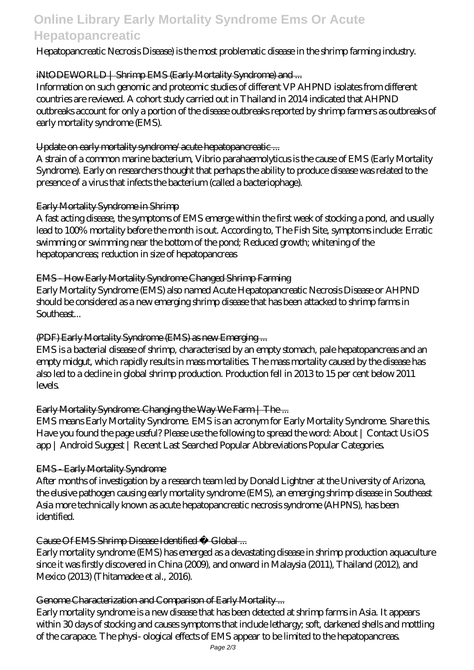## **Online Library Early Mortality Syndrome Ems Or Acute Hepatopancreatic**

## Hepatopancreatic Necrosis Disease) is the most problematic disease in the shrimp farming industry.

#### iNtODEWORLD | Shrimp EMS (Early Mortality Syndrome) and ...

Information on such genomic and proteomic studies of different VP AHPND isolates from different countries are reviewed. A cohort study carried out in Thailand in 2014 indicated that AHPND outbreaks account for only a portion of the disease outbreaks reported by shrimp farmers as outbreaks of early mortality syndrome (EMS).

#### Update on early mortality syndrome/acute hepatopancreatic ...

A strain of a common marine bacterium, Vibrio parahaemolyticus is the cause of EMS (Early Mortality Syndrome). Early on researchers thought that perhaps the ability to produce disease was related to the presence of a virus that infects the bacterium (called a bacteriophage).

#### Early Mortality Syndrome in Shrimp

A fast acting disease, the symptoms of EMS emerge within the first week of stocking a pond, and usually lead to 100% mortality before the month is out. According to, The Fish Site, symptoms include: Erratic swimming or swimming near the bottom of the pond; Reduced growth; whitening of the hepatopancreas; reduction in size of hepatopancreas

### EMS - How Early Mortality Syndrome Changed Shrimp Farming

Early Mortality Syndrome (EMS) also named Acute Hepatopancreatic Necrosis Disease or AHPND should be considered as a new emerging shrimp disease that has been attacked to shrimp farms in Southeast...

### (PDF) Early Mortality Syndrome (EMS) as new Emerging ...

EMS is a bacterial disease of shrimp, characterised by an empty stomach, pale hepatopancreas and an empty midgut, which rapidly results in mass mortalities. The mass mortality caused by the disease has also led to a decline in global shrimp production. Production fell in 2013 to 15 per cent below 2011 levels.

## Early Mortality Syndrome: Changing the Way We Farm | The ...

EMS means Early Mortality Syndrome. EMS is an acronym for Early Mortality Syndrome. Share this. Have you found the page useful? Please use the following to spread the word: About | Contact Us iOS app | Android Suggest | Recent Last Searched Popular Abbreviations Popular Categories.

## EMS - Early Mortality Syndrome

After months of investigation by a research team led by Donald Lightner at the University of Arizona, the elusive pathogen causing early mortality syndrome (EMS), an emerging shrimp disease in Southeast Asia more technically known as acute hepatopancreatic necrosis syndrome (AHPNS), has been identified.

## Cause Of EMS Shrimp Disease Identified « Global ...

Early mortality syndrome (EMS) has emerged as a devastating disease in shrimp production aquaculture since it was firstly discovered in China (2009), and onward in Malaysia (2011), Thailand (2012), and Mexico (2013) (Thitamadee et al., 2016).

## Genome Characterization and Comparison of Early Mortality ...

Early mortality syndrome is a new disease that has been detected at shrimp farms in Asia. It appears within 30 days of stocking and causes symptoms that include lethargy; soft, darkened shells and mottling of the carapace. The physi- ological effects of EMS appear to be limited to the hepatopancreas.